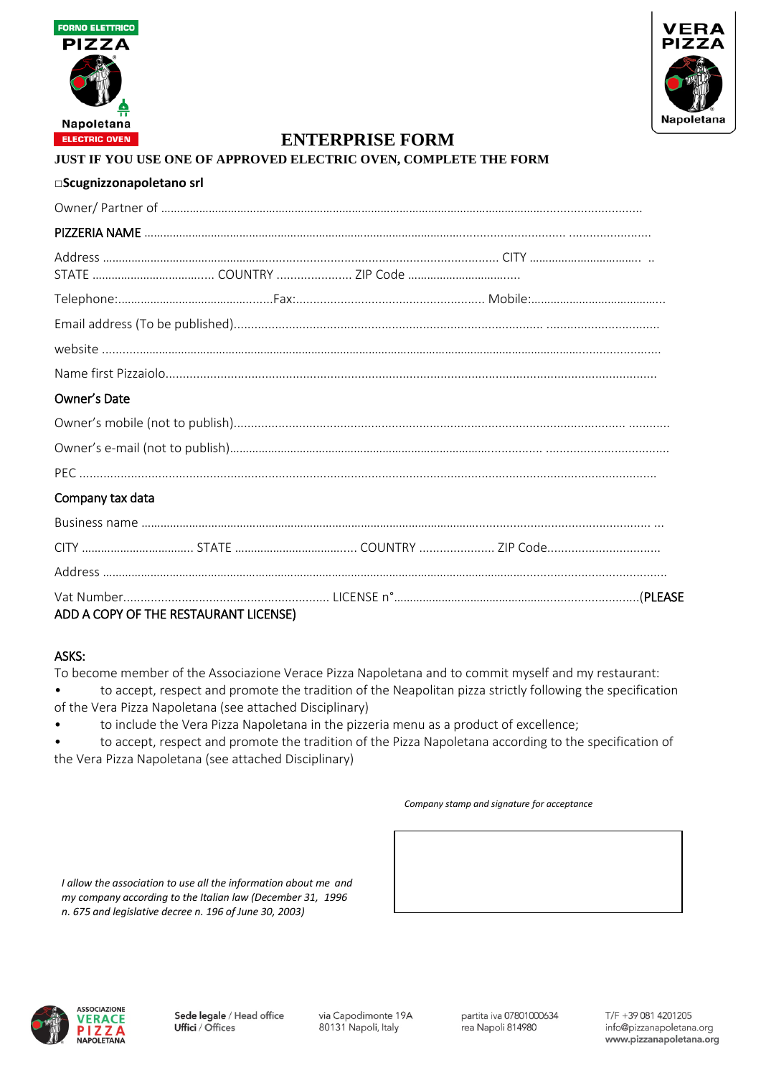



#### **JUST IF YOU USE ONE OF APPROVED ELECTRIC OVEN, COMPLETE THE FORM**

| □Scugnizzonapoletano srl |  |
|--------------------------|--|
|--------------------------|--|

| Owner's Date     |  |  |  |  |  |
|------------------|--|--|--|--|--|
|                  |  |  |  |  |  |
|                  |  |  |  |  |  |
|                  |  |  |  |  |  |
| Company tax data |  |  |  |  |  |
|                  |  |  |  |  |  |
|                  |  |  |  |  |  |
|                  |  |  |  |  |  |
|                  |  |  |  |  |  |

Vat Number............................................................ LICENSE n°…………………………………………...........................(PLEASE ADD A COPY OF THE RESTAURANT LICENSE)

### ASKS:

To become member of the Associazione Verace Pizza Napoletana and to commit myself and my restaurant: • to accept, respect and promote the tradition of the Neapolitan pizza strictly following the specification

- of the Vera Pizza Napoletana (see attached Disciplinary)
- to include the Vera Pizza Napoletana in the pizzeria menu as a product of excellence;

• to accept, respect and promote the tradition of the Pizza Napoletana according to the specification of the Vera Pizza Napoletana (see attached Disciplinary)

#### *Company stamp and signature for acceptance*

*I allow the association to use all the information about me and my company according to the Italian law (December 31, 1996 n. 675 and legislative decree n. 196 of June 30, 2003)*

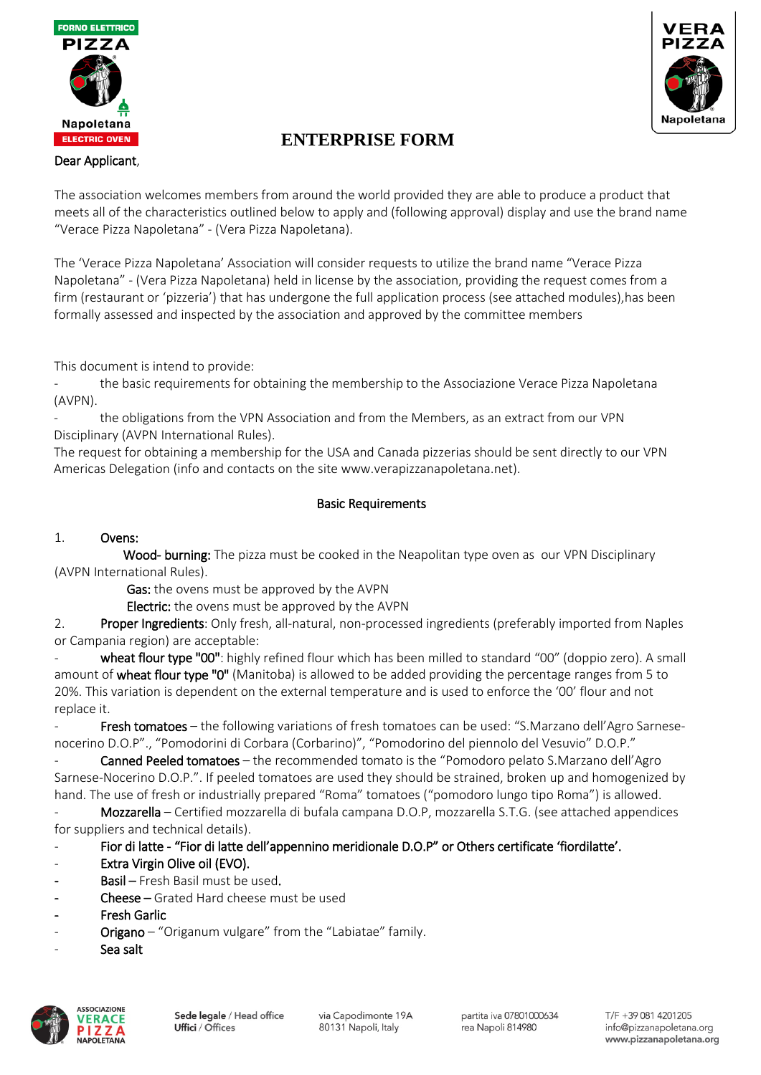



### Dear Applicant,

The association welcomes members from around the world provided they are able to produce a product that meets all of the characteristics outlined below to apply and (following approval) display and use the brand name "Verace Pizza Napoletana" - (Vera Pizza Napoletana).

The 'Verace Pizza Napoletana' Association will consider requests to utilize the brand name "Verace Pizza Napoletana" - (Vera Pizza Napoletana) held in license by the association, providing the request comes from a firm (restaurant or 'pizzeria') that has undergone the full application process (see attached modules),has been formally assessed and inspected by the association and approved by the committee members

This document is intend to provide:

the basic requirements for obtaining the membership to the Associazione Verace Pizza Napoletana (AVPN).

the obligations from the VPN Association and from the Members, as an extract from our VPN Disciplinary (AVPN International Rules).

The request for obtaining a membership for the USA and Canada pizzerias should be sent directly to our VPN Americas Delegation (info and contacts on the site www.verapizzanapoletana.net).

### Basic Requirements

### 1. Ovens:

Wood- burning: The pizza must be cooked in the Neapolitan type oven as our VPN Disciplinary (AVPN International Rules).

Gas: the ovens must be approved by the AVPN

Electric: the ovens must be approved by the AVPN

2. Proper Ingredients: Only fresh, all-natural, non-processed ingredients (preferably imported from Naples or Campania region) are acceptable:

wheat flour type "00": highly refined flour which has been milled to standard "00" (doppio zero). A small amount of wheat flour type "0" (Manitoba) is allowed to be added providing the percentage ranges from 5 to 20%. This variation is dependent on the external temperature and is used to enforce the '00' flour and not replace it.

Fresh tomatoes – the following variations of fresh tomatoes can be used: "S.Marzano dell'Agro Sarnesenocerino D.O.P"., "Pomodorini di Corbara (Corbarino)", "Pomodorino del piennolo del Vesuvio" D.O.P."

Canned Peeled tomatoes – the recommended tomato is the "Pomodoro pelato S.Marzano dell'Agro Sarnese-Nocerino D.O.P.". If peeled tomatoes are used they should be strained, broken up and homogenized by hand. The use of fresh or industrially prepared "Roma" tomatoes ("pomodoro lungo tipo Roma") is allowed.

- Mozzarella – Certified mozzarella di bufala campana D.O.P, mozzarella S.T.G. (see attached appendices for suppliers and technical details).

- Fior di latte - "Fior di latte dell'appennino meridionale D.O.P" or Others certificate 'fiordilatte'.

- Extra Virgin Olive oil (EVO).
- Basil Fresh Basil must be used.
- Cheese Grated Hard cheese must be used
- **Fresh Garlic**
- Origano "Origanum vulgare" from the "Labiatae" family.
- Sea salt

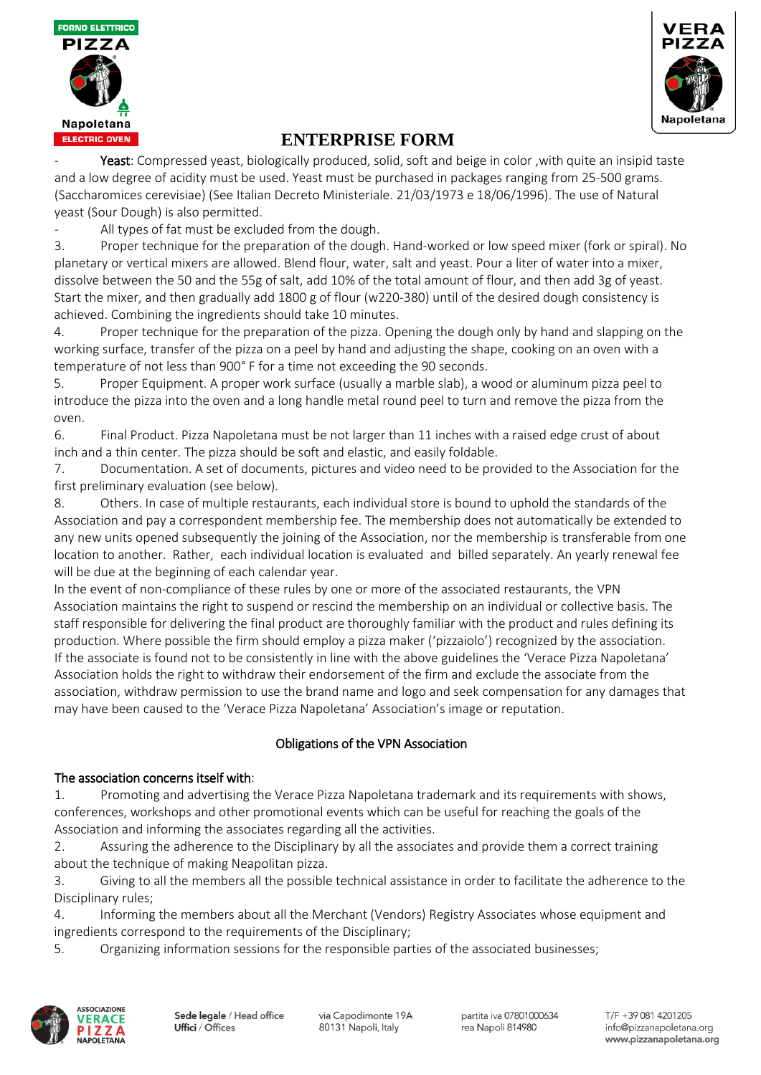



Yeast: Compressed yeast, biologically produced, solid, soft and beige in color , with quite an insipid taste and a low degree of acidity must be used. Yeast must be purchased in packages ranging from 25-500 grams. (Saccharomices cerevisiae) (See Italian Decreto Ministeriale. 21/03/1973 e 18/06/1996). The use of Natural yeast (Sour Dough) is also permitted.

All types of fat must be excluded from the dough.

3. Proper technique for the preparation of the dough. Hand-worked or low speed mixer (fork or spiral). No planetary or vertical mixers are allowed. Blend flour, water, salt and yeast. Pour a liter of water into a mixer, dissolve between the 50 and the 55g of salt, add 10% of the total amount of flour, and then add 3g of yeast. Start the mixer, and then gradually add 1800 g of flour (w220-380) until of the desired dough consistency is achieved. Combining the ingredients should take 10 minutes.

4. Proper technique for the preparation of the pizza. Opening the dough only by hand and slapping on the working surface, transfer of the pizza on a peel by hand and adjusting the shape, cooking on an oven with a temperature of not less than 900° F for a time not exceeding the 90 seconds.

5. Proper Equipment. A proper work surface (usually a marble slab), a wood or aluminum pizza peel to introduce the pizza into the oven and a long handle metal round peel to turn and remove the pizza from the oven.

6. Final Product. Pizza Napoletana must be not larger than 11 inches with a raised edge crust of about inch and a thin center. The pizza should be soft and elastic, and easily foldable.

7. Documentation. A set of documents, pictures and video need to be provided to the Association for the first preliminary evaluation (see below).

8. Others. In case of multiple restaurants, each individual store is bound to uphold the standards of the Association and pay a correspondent membership fee. The membership does not automatically be extended to any new units opened subsequently the joining of the Association, nor the membership is transferable from one location to another. Rather, each individual location is evaluated and billed separately. An yearly renewal fee will be due at the beginning of each calendar year.

In the event of non-compliance of these rules by one or more of the associated restaurants, the VPN Association maintains the right to suspend or rescind the membership on an individual or collective basis. The staff responsible for delivering the final product are thoroughly familiar with the product and rules defining its production. Where possible the firm should employ a pizza maker ('pizzaiolo') recognized by the association. If the associate is found not to be consistently in line with the above guidelines the 'Verace Pizza Napoletana' Association holds the right to withdraw their endorsement of the firm and exclude the associate from the association, withdraw permission to use the brand name and logo and seek compensation for any damages that may have been caused to the 'Verace Pizza Napoletana' Association's image or reputation.

## Obligations of the VPN Association

### The association concerns itself with:

1. Promoting and advertising the Verace Pizza Napoletana trademark and its requirements with shows, conferences, workshops and other promotional events which can be useful for reaching the goals of the Association and informing the associates regarding all the activities.

2. Assuring the adherence to the Disciplinary by all the associates and provide them a correct training about the technique of making Neapolitan pizza.

3. Giving to all the members all the possible technical assistance in order to facilitate the adherence to the Disciplinary rules;

4. Informing the members about all the Merchant (Vendors) Registry Associates whose equipment and ingredients correspond to the requirements of the Disciplinary;

5. Organizing information sessions for the responsible parties of the associated businesses;